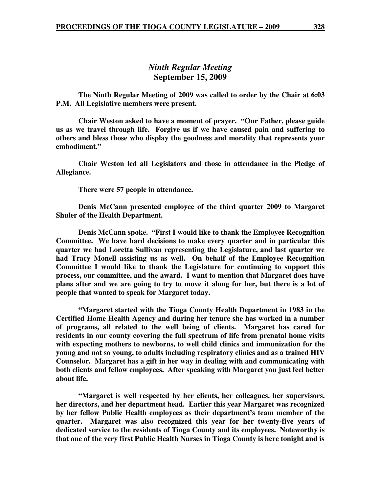# *Ninth Regular Meeting*  **September 15, 2009**

 **The Ninth Regular Meeting of 2009 was called to order by the Chair at 6:03 P.M. All Legislative members were present.** 

**Chair Weston asked to have a moment of prayer. "Our Father, please guide us as we travel through life. Forgive us if we have caused pain and suffering to others and bless those who display the goodness and morality that represents your embodiment."** 

 **Chair Weston led all Legislators and those in attendance in the Pledge of Allegiance.** 

 **There were 57 people in attendance.** 

 **Denis McCann presented employee of the third quarter 2009 to Margaret Shuler of the Health Department.** 

**Denis McCann spoke. "First I would like to thank the Employee Recognition Committee. We have hard decisions to make every quarter and in particular this quarter we had Loretta Sullivan representing the Legislature, and last quarter we had Tracy Monell assisting us as well. On behalf of the Employee Recognition Committee I would like to thank the Legislature for continuing to support this process, our committee, and the award. I want to mention that Margaret does have plans after and we are going to try to move it along for her, but there is a lot of people that wanted to speak for Margaret today.** 

 **"Margaret started with the Tioga County Health Department in 1983 in the Certified Home Health Agency and during her tenure she has worked in a number of programs, all related to the well being of clients. Margaret has cared for residents in our county covering the full spectrum of life from prenatal home visits with expecting mothers to newborns, to well child clinics and immunization for the young and not so young, to adults including respiratory clinics and as a trained HIV Counselor. Margaret has a gift in her way in dealing with and communicating with both clients and fellow employees. After speaking with Margaret you just feel better about life.** 

**"Margaret is well respected by her clients, her colleagues, her supervisors, her directors, and her department head. Earlier this year Margaret was recognized by her fellow Public Health employees as their department's team member of the quarter. Margaret was also recognized this year for her twenty-five years of dedicated service to the residents of Tioga County and its employees. Noteworthy is that one of the very first Public Health Nurses in Tioga County is here tonight and is**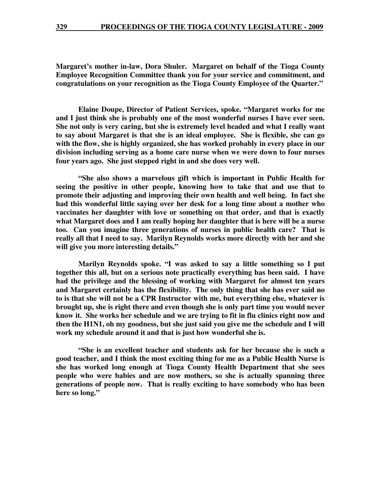**Margaret's mother in-law, Dora Shuler. Margaret on behalf of the Tioga County Employee Recognition Committee thank you for your service and commitment, and congratulations on your recognition as the Tioga County Employee of the Quarter."** 

**Elaine Doupe, Director of Patient Services, spoke. "Margaret works for me and I just think she is probably one of the most wonderful nurses I have ever seen. She not only is very caring, but she is extremely level headed and what I really want to say about Margaret is that she is an ideal employee. She is flexible, she can go with the flow, she is highly organized, she has worked probably in every place in our division including serving as a home care nurse when we were down to four nurses four years ago. She just stepped right in and she does very well.** 

**"She also shows a marvelous gift which is important in Public Health for seeing the positive in other people, knowing how to take that and use that to promote their adjusting and improving their own health and well being. In fact she had this wonderful little saying over her desk for a long time about a mother who vaccinates her daughter with love or something on that order, and that is exactly what Margaret does and I am really hoping her daughter that is here will be a nurse too. Can you imagine three generations of nurses in public health care? That is really all that I need to say. Marilyn Reynolds works more directly with her and she will give you more interesting details."** 

**Marilyn Reynolds spoke. "I was asked to say a little something so I put together this all, but on a serious note practically everything has been said. I have had the privilege and the blessing of working with Margaret for almost ten years and Margaret certainly has the flexibility. The only thing that she has ever said no to is that she will not be a CPR Instructor with me, but everything else, whatever is brought up, she is right there and even though she is only part time you would never know it. She works her schedule and we are trying to fit in flu clinics right now and then the H1N1, oh my goodness, but she just said you give me the schedule and I will work my schedule around it and that is just how wonderful she is.** 

**"She is an excellent teacher and students ask for her because she is such a good teacher, and I think the most exciting thing for me as a Public Health Nurse is she has worked long enough at Tioga County Health Department that she sees people who were babies and are now mothers, so she is actually spanning three generations of people now. That is really exciting to have somebody who has been here so long."**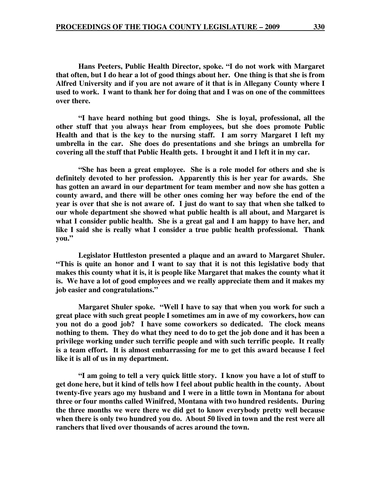**Hans Peeters, Public Health Director, spoke. "I do not work with Margaret that often, but I do hear a lot of good things about her. One thing is that she is from Alfred University and if you are not aware of it that is in Allegany County where I used to work. I want to thank her for doing that and I was on one of the committees over there.** 

**"I have heard nothing but good things. She is loyal, professional, all the other stuff that you always hear from employees, but she does promote Public Health and that is the key to the nursing staff. I am sorry Margaret I left my umbrella in the car. She does do presentations and she brings an umbrella for covering all the stuff that Public Health gets. I brought it and I left it in my car.** 

**"She has been a great employee. She is a role model for others and she is definitely devoted to her profession. Apparently this is her year for awards. She has gotten an award in our department for team member and now she has gotten a county award, and there will be other ones coming her way before the end of the year is over that she is not aware of. I just do want to say that when she talked to our whole department she showed what public health is all about, and Margaret is what I consider public health. She is a great gal and I am happy to have her, and like I said she is really what I consider a true public health professional. Thank you."** 

**Legislator Huttleston presented a plaque and an award to Margaret Shuler. "This is quite an honor and I want to say that it is not this legislative body that makes this county what it is, it is people like Margaret that makes the county what it is. We have a lot of good employees and we really appreciate them and it makes my job easier and congratulations."** 

**Margaret Shuler spoke. "Well I have to say that when you work for such a great place with such great people I sometimes am in awe of my coworkers, how can you not do a good job? I have some coworkers so dedicated. The clock means nothing to them. They do what they need to do to get the job done and it has been a privilege working under such terrific people and with such terrific people. It really is a team effort. It is almost embarrassing for me to get this award because I feel like it is all of us in my department.** 

**"I am going to tell a very quick little story. I know you have a lot of stuff to get done here, but it kind of tells how I feel about public health in the county. About twenty-five years ago my husband and I were in a little town in Montana for about three or four months called Winifred, Montana with two hundred residents. During the three months we were there we did get to know everybody pretty well because when there is only two hundred you do. About 50 lived in town and the rest were all ranchers that lived over thousands of acres around the town.**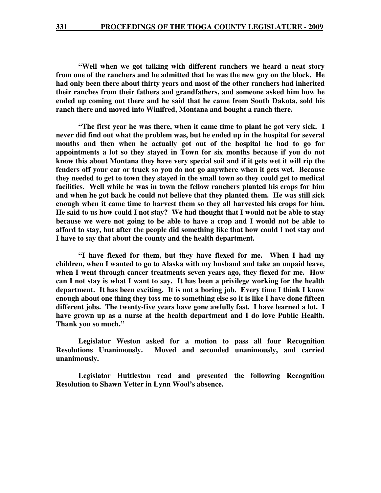**"Well when we got talking with different ranchers we heard a neat story from one of the ranchers and he admitted that he was the new guy on the block. He had only been there about thirty years and most of the other ranchers had inherited their ranches from their fathers and grandfathers, and someone asked him how he ended up coming out there and he said that he came from South Dakota, sold his ranch there and moved into Winifred, Montana and bought a ranch there.** 

**"The first year he was there, when it came time to plant he got very sick. I never did find out what the problem was, but he ended up in the hospital for several months and then when he actually got out of the hospital he had to go for appointments a lot so they stayed in Town for six months because if you do not know this about Montana they have very special soil and if it gets wet it will rip the fenders off your car or truck so you do not go anywhere when it gets wet. Because they needed to get to town they stayed in the small town so they could get to medical facilities. Well while he was in town the fellow ranchers planted his crops for him and when he got back he could not believe that they planted them. He was still sick enough when it came time to harvest them so they all harvested his crops for him. He said to us how could I not stay? We had thought that I would not be able to stay because we were not going to be able to have a crop and I would not be able to afford to stay, but after the people did something like that how could I not stay and I have to say that about the county and the health department.** 

**"I have flexed for them, but they have flexed for me. When I had my children, when I wanted to go to Alaska with my husband and take an unpaid leave, when I went through cancer treatments seven years ago, they flexed for me. How can I not stay is what I want to say. It has been a privilege working for the health department. It has been exciting. It is not a boring job. Every time I think I know enough about one thing they toss me to something else so it is like I have done fifteen different jobs. The twenty-five years have gone awfully fast. I have learned a lot. I have grown up as a nurse at the health department and I do love Public Health. Thank you so much."** 

**Legislator Weston asked for a motion to pass all four Recognition Resolutions Unanimously. Moved and seconded unanimously, and carried unanimously.** 

**Legislator Huttleston read and presented the following Recognition Resolution to Shawn Yetter in Lynn Wool's absence.**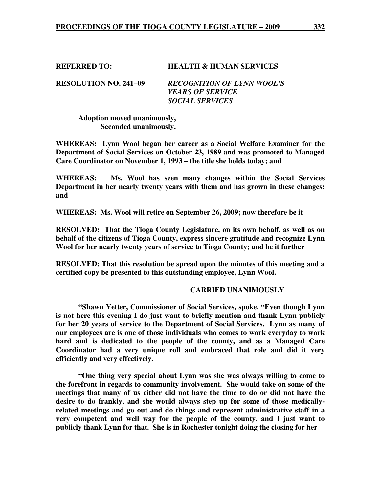**REFERRED TO: HEALTH & HUMAN SERVICES** 

**RESOLUTION NO. 241–09** *RECOGNITION OF LYNN WOOL'S YEARS OF SERVICE SOCIAL SERVICES* 

 **Adoption moved unanimously, Seconded unanimously.** 

**WHEREAS: Lynn Wool began her career as a Social Welfare Examiner for the Department of Social Services on October 23, 1989 and was promoted to Managed Care Coordinator on November 1, 1993 – the title she holds today; and** 

**WHEREAS: Ms. Wool has seen many changes within the Social Services Department in her nearly twenty years with them and has grown in these changes; and** 

**WHEREAS: Ms. Wool will retire on September 26, 2009; now therefore be it** 

**RESOLVED: That the Tioga County Legislature, on its own behalf, as well as on behalf of the citizens of Tioga County, express sincere gratitude and recognize Lynn Wool for her nearly twenty years of service to Tioga County; and be it further** 

**RESOLVED: That this resolution be spread upon the minutes of this meeting and a certified copy be presented to this outstanding employee, Lynn Wool.** 

### **CARRIED UNANIMOUSLY**

**"Shawn Yetter, Commissioner of Social Services, spoke. "Even though Lynn is not here this evening I do just want to briefly mention and thank Lynn publicly for her 20 years of service to the Department of Social Services. Lynn as many of our employees are is one of those individuals who comes to work everyday to work hard and is dedicated to the people of the county, and as a Managed Care Coordinator had a very unique roll and embraced that role and did it very efficiently and very effectively.** 

**"One thing very special about Lynn was she was always willing to come to the forefront in regards to community involvement. She would take on some of the meetings that many of us either did not have the time to do or did not have the desire to do frankly, and she would always step up for some of those medicallyrelated meetings and go out and do things and represent administrative staff in a very competent and well way for the people of the county, and I just want to publicly thank Lynn for that. She is in Rochester tonight doing the closing for her**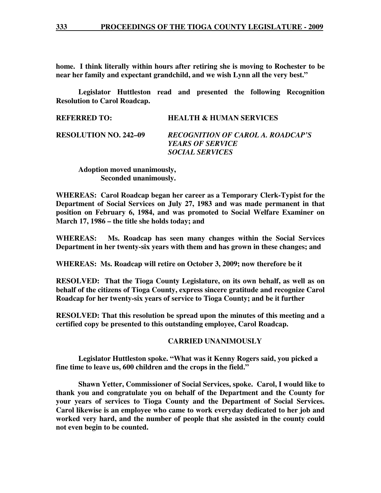**home. I think literally within hours after retiring she is moving to Rochester to be near her family and expectant grandchild, and we wish Lynn all the very best."** 

**Legislator Huttleston read and presented the following Recognition Resolution to Carol Roadcap.** 

> *YEARS OF SERVICE SOCIAL SERVICES*

| <b>REFERRED TO:</b>          | <b>HEALTH &amp; HUMAN SERVICES</b>       |
|------------------------------|------------------------------------------|
| <b>RESOLUTION NO. 242-09</b> | <b>RECOGNITION OF CAROL A. ROADCAP'S</b> |

 **Adoption moved unanimously, Seconded unanimously.** 

**WHEREAS: Carol Roadcap began her career as a Temporary Clerk-Typist for the Department of Social Services on July 27, 1983 and was made permanent in that position on February 6, 1984, and was promoted to Social Welfare Examiner on March 17, 1986 – the title she holds today; and** 

**WHEREAS: Ms. Roadcap has seen many changes within the Social Services Department in her twenty-six years with them and has grown in these changes; and** 

**WHEREAS: Ms. Roadcap will retire on October 3, 2009; now therefore be it** 

**RESOLVED: That the Tioga County Legislature, on its own behalf, as well as on behalf of the citizens of Tioga County, express sincere gratitude and recognize Carol Roadcap for her twenty-six years of service to Tioga County; and be it further** 

**RESOLVED: That this resolution be spread upon the minutes of this meeting and a certified copy be presented to this outstanding employee, Carol Roadcap.** 

#### **CARRIED UNANIMOUSLY**

**Legislator Huttleston spoke. "What was it Kenny Rogers said, you picked a fine time to leave us, 600 children and the crops in the field."** 

 **Shawn Yetter, Commissioner of Social Services, spoke. Carol, I would like to thank you and congratulate you on behalf of the Department and the County for your years of services to Tioga County and the Department of Social Services. Carol likewise is an employee who came to work everyday dedicated to her job and worked very hard, and the number of people that she assisted in the county could not even begin to be counted.**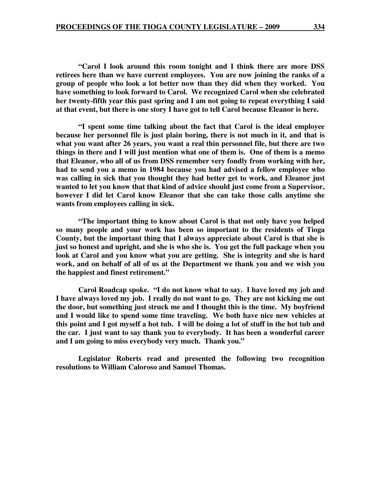**"Carol I look around this room tonight and I think there are more DSS retirees here than we have current employees. You are now joining the ranks of a group of people who look a lot better now than they did when they worked. You have something to look forward to Carol. We recognized Carol when she celebrated her twenty-fifth year this past spring and I am not going to repeat everything I said at that event, but there is one story I have got to tell Carol because Eleanor is here.** 

 **"I spent some time talking about the fact that Carol is the ideal employee because her personnel file is just plain boring, there is not much in it, and that is what you want after 26 years, you want a real thin personnel file, but there are two things in there and I will just mention what one of them is. One of them is a memo that Eleanor, who all of us from DSS remember very fondly from working with her, had to send you a memo in 1984 because you had advised a fellow employee who was calling in sick that you thought they had better get to work, and Eleanor just wanted to let you know that that kind of advice should just come from a Supervisor, however I did let Carol know Eleanor that she can take those calls anytime she wants from employees calling in sick.** 

**"The important thing to know about Carol is that not only have you helped so many people and your work has been so important to the residents of Tioga County, but the important thing that I always appreciate about Carol is that she is just so honest and upright, and she is who she is. You get the full package when you look at Carol and you know what you are getting. She is integrity and she is hard work, and on behalf of all of us at the Department we thank you and we wish you the happiest and finest retirement."** 

 **Carol Roadcap spoke. "I do not know what to say. I have loved my job and I have always loved my job. I really do not want to go. They are not kicking me out the door, but something just struck me and I thought this is the time. My boyfriend and I would like to spend some time traveling. We both have nice new vehicles at this point and I got myself a hot tub. I will be doing a lot of stuff in the hot tub and the car. I just want to say thank you to everybody. It has been a wonderful career and I am going to miss everybody very much. Thank you."** 

 **Legislator Roberts read and presented the following two recognition resolutions to William Caloroso and Samuel Thomas.**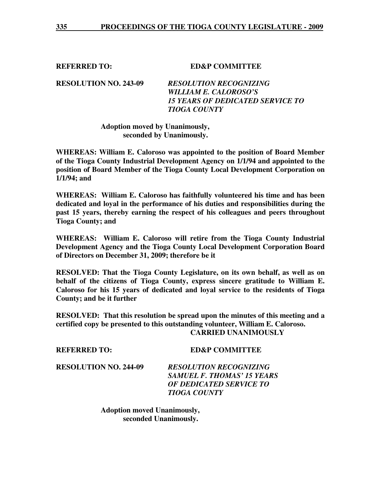**REFERRED TO: ED&P COMMITTEE** 

**RESOLUTION NO. 243-09** *RESOLUTION RECOGNIZING WILLIAM E. CALOROSO'S 15 YEARS OF DEDICATED SERVICE TO TIOGA COUNTY* 

# **Adoption moved by Unanimously, seconded by Unanimously.**

**WHEREAS: William E. Caloroso was appointed to the position of Board Member of the Tioga County Industrial Development Agency on 1/1/94 and appointed to the position of Board Member of the Tioga County Local Development Corporation on 1/1/94; and** 

**WHEREAS: William E. Caloroso has faithfully volunteered his time and has been dedicated and loyal in the performance of his duties and responsibilities during the past 15 years, thereby earning the respect of his colleagues and peers throughout Tioga County; and** 

**WHEREAS: William E. Caloroso will retire from the Tioga County Industrial Development Agency and the Tioga County Local Development Corporation Board of Directors on December 31, 2009; therefore be it** 

**RESOLVED: That the Tioga County Legislature, on its own behalf, as well as on behalf of the citizens of Tioga County, express sincere gratitude to William E. Caloroso for his 15 years of dedicated and loyal service to the residents of Tioga County; and be it further** 

**RESOLVED: That this resolution be spread upon the minutes of this meeting and a certified copy be presented to this outstanding volunteer, William E. Caloroso. CARRIED UNANIMOUSLY** 

# **REFERRED TO: ED&P COMMITTEE**

**RESOLUTION NO. 244-09** *RESOLUTION RECOGNIZING SAMUEL F. THOMAS' 15 YEARS OF DEDICATED SERVICE TO TIOGA COUNTY* 

> **Adoption moved Unanimously, seconded Unanimously.**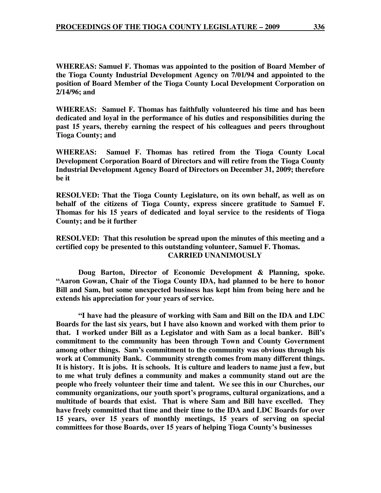**WHEREAS: Samuel F. Thomas was appointed to the position of Board Member of the Tioga County Industrial Development Agency on 7/01/94 and appointed to the position of Board Member of the Tioga County Local Development Corporation on 2/14/96; and** 

**WHEREAS: Samuel F. Thomas has faithfully volunteered his time and has been dedicated and loyal in the performance of his duties and responsibilities during the past 15 years, thereby earning the respect of his colleagues and peers throughout Tioga County; and** 

**WHEREAS: Samuel F. Thomas has retired from the Tioga County Local Development Corporation Board of Directors and will retire from the Tioga County Industrial Development Agency Board of Directors on December 31, 2009; therefore be it** 

**RESOLVED: That the Tioga County Legislature, on its own behalf, as well as on behalf of the citizens of Tioga County, express sincere gratitude to Samuel F. Thomas for his 15 years of dedicated and loyal service to the residents of Tioga County; and be it further** 

**RESOLVED: That this resolution be spread upon the minutes of this meeting and a certified copy be presented to this outstanding volunteer, Samuel F. Thomas. CARRIED UNANIMOUSLY** 

**Doug Barton, Director of Economic Development & Planning, spoke. "Aaron Gowan, Chair of the Tioga County IDA, had planned to be here to honor Bill and Sam, but some unexpected business has kept him from being here and he extends his appreciation for your years of service.** 

 **"I have had the pleasure of working with Sam and Bill on the IDA and LDC Boards for the last six years, but I have also known and worked with them prior to that. I worked under Bill as a Legislator and with Sam as a local banker. Bill's commitment to the community has been through Town and County Government among other things. Sam's commitment to the community was obvious through his work at Community Bank. Community strength comes from many different things. It is history. It is jobs. It is schools. It is culture and leaders to name just a few, but to me what truly defines a community and makes a community stand out are the people who freely volunteer their time and talent. We see this in our Churches, our community organizations, our youth sport's programs, cultural organizations, and a multitude of boards that exist. That is where Sam and Bill have excelled. They have freely committed that time and their time to the IDA and LDC Boards for over 15 years, over 15 years of monthly meetings, 15 years of serving on special committees for those Boards, over 15 years of helping Tioga County's businesses**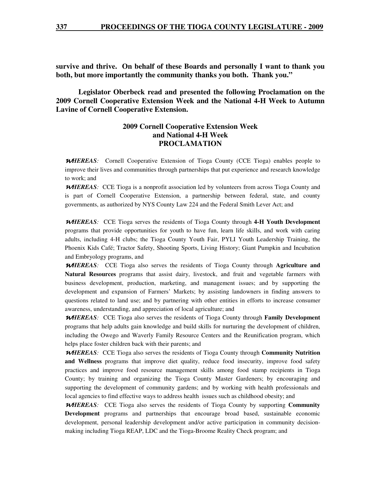**survive and thrive. On behalf of these Boards and personally I want to thank you both, but more importantly the community thanks you both. Thank you."** 

 **Legislator Oberbeck read and presented the following Proclamation on the 2009 Cornell Cooperative Extension Week and the National 4-H Week to Autumn Lavine of Cornell Cooperative Extension.** 

# **2009 Cornell Cooperative Extension Week and National 4-H Week PROCLAMATION**

<sup>W</sup>*HEREAS:* Cornell Cooperative Extension of Tioga County (CCE Tioga) enables people to improve their lives and communities through partnerships that put experience and research knowledge to work; and

**WHEREAS**: CCE Tioga is a nonprofit association led by volunteers from across Tioga County and is part of Cornell Cooperative Extension, a partnership between federal, state, and county governments, as authorized by NYS County Law 224 and the Federal Smith Lever Act; and

<sup>W</sup>*HEREAS:* CCE Tioga serves the residents of Tioga County through **4-H Youth Development** programs that provide opportunities for youth to have fun, learn life skills, and work with caring adults, including 4-H clubs; the Tioga County Youth Fair, PYLI Youth Leadership Training, the Phoenix Kids Café; Tractor Safety, Shooting Sports, Living History; Giant Pumpkin and Incubation and Embryology programs, and

<sup>W</sup>*HEREAS:* CCE Tioga also serves the residents of Tioga County through **Agriculture and Natural Resources** programs that assist dairy, livestock, and fruit and vegetable farmers with business development, production, marketing, and management issues; and by supporting the development and expansion of Farmers' Markets; by assisting landowners in finding answers to questions related to land use; and by partnering with other entities in efforts to increase consumer awareness, understanding, and appreciation of local agriculture; and

<sup>W</sup>*HEREAS:* CCE Tioga also serves the residents of Tioga County through **Family Development** programs that help adults gain knowledge and build skills for nurturing the development of children, including the Owego and Waverly Family Resource Centers and the Reunification program, which helps place foster children back with their parents; and

<sup>W</sup>*HEREAS:* CCE Tioga also serves the residents of Tioga County through **Community Nutrition and Wellness** programs that improve diet quality, reduce food insecurity, improve food safety practices and improve food resource management skills among food stamp recipients in Tioga County; by training and organizing the Tioga County Master Gardeners; by encouraging and supporting the development of community gardens; and by working with health professionals and local agencies to find effective ways to address health issues such as childhood obesity; and

<sup>W</sup>*HEREAS:* CCE Tioga also serves the residents of Tioga County by supporting **Community Development** programs and partnerships that encourage broad based, sustainable economic development, personal leadership development and/or active participation in community decisionmaking including Tioga REAP, LDC and the Tioga-Broome Reality Check program; and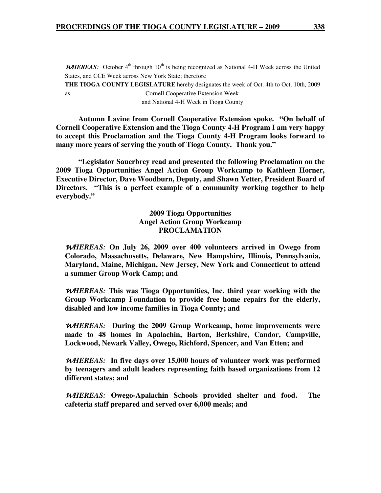**WHEREAS**: October 4<sup>th</sup> through 10<sup>th</sup> is being recognized as National 4-H Week across the United States, and CCE Week across New York State; therefore **THE TIOGA COUNTY LEGISLATURE** hereby designates the week of Oct. 4th to Oct. 10th, 2009 as Cornell Cooperative Extension Week and National 4-H Week in Tioga County

 **Autumn Lavine from Cornell Cooperative Extension spoke. "On behalf of Cornell Cooperative Extension and the Tioga County 4-H Program I am very happy to accept this Proclamation and the Tioga County 4-H Program looks forward to many more years of serving the youth of Tioga County. Thank you."** 

**"Legislator Sauerbrey read and presented the following Proclamation on the 2009 Tioga Opportunities Angel Action Group Workcamp to Kathleen Horner, Executive Director, Dave Woodburn, Deputy, and Shawn Yetter, President Board of Directors. "This is a perfect example of a community working together to help everybody."** 

> **2009 Tioga Opportunities Angel Action Group Workcamp PROCLAMATION**

<sup>W</sup>*HEREAS:* **On July 26, 2009 over 400 volunteers arrived in Owego from Colorado, Massachusetts, Delaware, New Hampshire, Illinois, Pennsylvania, Maryland, Maine, Michigan, New Jersey, New York and Connecticut to attend a summer Group Work Camp; and** 

<sup>W</sup>*HEREAS:* **This was Tioga Opportunities, Inc. third year working with the Group Workcamp Foundation to provide free home repairs for the elderly, disabled and low income families in Tioga County; and** 

<sup>W</sup>*HEREAS:* **During the 2009 Group Workcamp, home improvements were made to 48 homes in Apalachin, Barton, Berkshire, Candor, Campville, Lockwood, Newark Valley, Owego, Richford, Spencer, and Van Etten; and** 

<sup>W</sup>*HEREAS:* **In five days over 15,000 hours of volunteer work was performed by teenagers and adult leaders representing faith based organizations from 12 different states; and** 

<sup>W</sup>*HEREAS:* **Owego-Apalachin Schools provided shelter and food. The cafeteria staff prepared and served over 6,000 meals; and**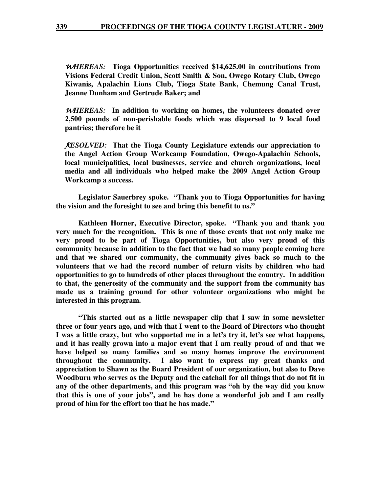<sup>W</sup>*HEREAS:* **Tioga Opportunities received \$14,625.00 in contributions from Visions Federal Credit Union, Scott Smith & Son, Owego Rotary Club, Owego Kiwanis, Apalachin Lions Club, Tioga State Bank, Chemung Canal Trust, Jeanne Dunham and Gertrude Baker; and** 

<sup>W</sup>*HEREAS:* **In addition to working on homes, the volunteers donated over 2,500 pounds of non-perishable foods which was dispersed to 9 local food pantries; therefore be it** 

R*ESOLVED:* **That the Tioga County Legislature extends our appreciation to the Angel Action Group Workcamp Foundation, Owego-Apalachin Schools, local municipalities, local businesses, service and church organizations, local media and all individuals who helped make the 2009 Angel Action Group Workcamp a success.** 

 **Legislator Sauerbrey spoke. "Thank you to Tioga Opportunities for having the vision and the foresight to see and bring this benefit to us."** 

 **Kathleen Horner, Executive Director, spoke. "Thank you and thank you very much for the recognition. This is one of those events that not only make me very proud to be part of Tioga Opportunities, but also very proud of this community because in addition to the fact that we had so many people coming here and that we shared our community, the community gives back so much to the volunteers that we had the record number of return visits by children who had opportunities to go to hundreds of other places throughout the country. In addition to that, the generosity of the community and the support from the community has made us a training ground for other volunteer organizations who might be interested in this program.** 

 **"This started out as a little newspaper clip that I saw in some newsletter three or four years ago, and with that I went to the Board of Directors who thought I was a little crazy, but who supported me in a let's try it, let's see what happens, and it has really grown into a major event that I am really proud of and that we have helped so many families and so many homes improve the environment throughout the community. I also want to express my great thanks and appreciation to Shawn as the Board President of our organization, but also to Dave Woodburn who serves as the Deputy and the catchall for all things that do not fit in any of the other departments, and this program was "oh by the way did you know that this is one of your jobs", and he has done a wonderful job and I am really proud of him for the effort too that he has made."**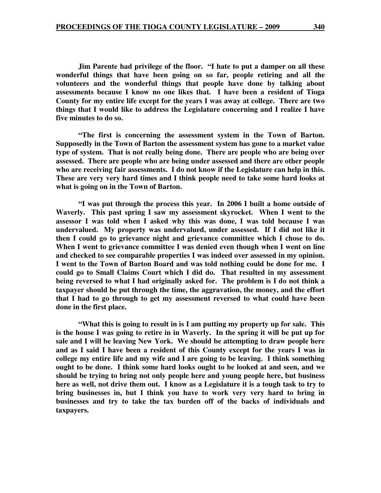**Jim Parente had privilege of the floor. "I hate to put a damper on all these wonderful things that have been going on so far, people retiring and all the volunteers and the wonderful things that people have done by talking about assessments because I know no one likes that. I have been a resident of Tioga County for my entire life except for the years I was away at college. There are two things that I would like to address the Legislature concerning and I realize I have five minutes to do so.** 

 **"The first is concerning the assessment system in the Town of Barton. Supposedly in the Town of Barton the assessment system has gone to a market value type of system. That is not really being done. There are people who are being over assessed. There are people who are being under assessed and there are other people who are receiving fair assessments. I do not know if the Legislature can help in this. These are very very hard times and I think people need to take some hard looks at what is going on in the Town of Barton.** 

 **"I was put through the process this year. In 2006 I built a home outside of Waverly. This past spring I saw my assessment skyrocket. When I went to the assessor I was told when I asked why this was done, I was told because I was undervalued. My property was undervalued, under assessed. If I did not like it then I could go to grievance night and grievance committee which I chose to do. When I went to grievance committee I was denied even though when I went on line and checked to see comparable properties I was indeed over assessed in my opinion. I went to the Town of Barton Board and was told nothing could be done for me. I could go to Small Claims Court which I did do. That resulted in my assessment being reversed to what I had originally asked for. The problem is I do not think a taxpayer should be put through the time, the aggravation, the money, and the effort that I had to go through to get my assessment reversed to what could have been done in the first place.** 

 **"What this is going to result in is I am putting my property up for sale. This is the house I was going to retire in in Waverly. In the spring it will be put up for sale and I will be leaving New York. We should be attempting to draw people here and as I said I have been a resident of this County except for the years I was in college my entire life and my wife and I are going to be leaving. I think something ought to be done. I think some hard looks ought to be looked at and seen, and we should be trying to bring not only people here and young people here, but business here as well, not drive them out. I know as a Legislature it is a tough task to try to bring businesses in, but I think you have to work very very hard to bring in businesses and try to take the tax burden off of the backs of individuals and taxpayers.**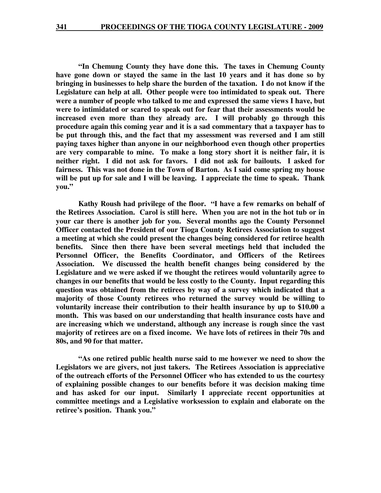**"In Chemung County they have done this. The taxes in Chemung County have gone down or stayed the same in the last 10 years and it has done so by bringing in businesses to help share the burden of the taxation. I do not know if the Legislature can help at all. Other people were too intimidated to speak out. There were a number of people who talked to me and expressed the same views I have, but were to intimidated or scared to speak out for fear that their assessments would be increased even more than they already are. I will probably go through this procedure again this coming year and it is a sad commentary that a taxpayer has to be put through this, and the fact that my assessment was reversed and I am still paying taxes higher than anyone in our neighborhood even though other properties are very comparable to mine. To make a long story short it is neither fair, it is neither right. I did not ask for favors. I did not ask for bailouts. I asked for fairness. This was not done in the Town of Barton. As I said come spring my house will be put up for sale and I will be leaving. I appreciate the time to speak. Thank you."** 

 **Kathy Roush had privilege of the floor. "I have a few remarks on behalf of the Retirees Association. Carol is still here. When you are not in the hot tub or in your car there is another job for you. Several months ago the County Personnel Officer contacted the President of our Tioga County Retirees Association to suggest a meeting at which she could present the changes being considered for retiree health benefits. Since then there have been several meetings held that included the Personnel Officer, the Benefits Coordinator, and Officers of the Retirees Association. We discussed the health benefit changes being considered by the Legislature and we were asked if we thought the retirees would voluntarily agree to changes in our benefits that would be less costly to the County. Input regarding this question was obtained from the retirees by way of a survey which indicated that a majority of those County retirees who returned the survey would be willing to voluntarily increase their contribution to their health insurance by up to \$10.00 a month. This was based on our understanding that health insurance costs have and are increasing which we understand, although any increase is rough since the vast majority of retirees are on a fixed income. We have lots of retirees in their 70s and 80s, and 90 for that matter.** 

 **"As one retired public health nurse said to me however we need to show the Legislators we are givers, not just takers. The Retirees Association is appreciative of the outreach efforts of the Personnel Officer who has extended to us the courtesy of explaining possible changes to our benefits before it was decision making time and has asked for our input. Similarly I appreciate recent opportunities at committee meetings and a Legislative worksession to explain and elaborate on the retiree's position. Thank you."**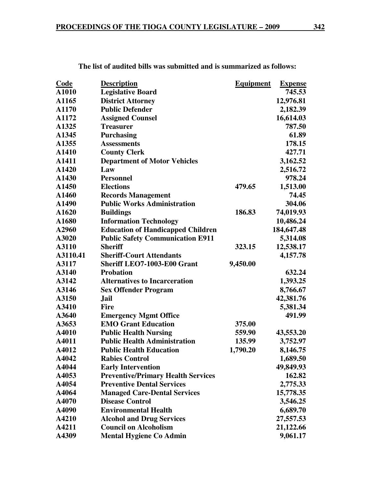| <b>Code</b> | <b>Description</b>                        | <b>Equipment</b> | <b>Expense</b> |
|-------------|-------------------------------------------|------------------|----------------|
| A1010       | <b>Legislative Board</b>                  |                  | 745.53         |
| A1165       | <b>District Attorney</b>                  |                  | 12,976.81      |
| A1170       | <b>Public Defender</b>                    |                  | 2,182.39       |
| A1172       | <b>Assigned Counsel</b>                   |                  | 16,614.03      |
| A1325       | <b>Treasurer</b>                          |                  | 787.50         |
| A1345       | <b>Purchasing</b>                         |                  | 61.89          |
| A1355       | <b>Assessments</b>                        |                  | 178.15         |
| A1410       | <b>County Clerk</b>                       |                  | 427.71         |
| A1411       | <b>Department of Motor Vehicles</b>       |                  | 3,162.52       |
| A1420       | Law                                       |                  | 2,516.72       |
| A1430       | <b>Personnel</b>                          |                  | 978.24         |
| A1450       | <b>Elections</b>                          | 479.65           | 1,513.00       |
| A1460       | <b>Records Management</b>                 |                  | 74.45          |
| A1490       | <b>Public Works Administration</b>        |                  | 304.06         |
| A1620       | <b>Buildings</b>                          | 186.83           | 74,019.93      |
| A1680       | <b>Information Technology</b>             |                  | 10,486.24      |
| A2960       | <b>Education of Handicapped Children</b>  |                  | 184,647.48     |
| A3020       | <b>Public Safety Communication E911</b>   |                  | 5,314.08       |
| A3110       | <b>Sheriff</b>                            | 323.15           | 12,538.17      |
| A3110.41    | <b>Sheriff-Court Attendants</b>           |                  | 4,157.78       |
| A3117       | Sheriff LEO7-1003-E00 Grant               | 9,450.00         |                |
| A3140       | <b>Probation</b>                          |                  | 632.24         |
| A3142       | <b>Alternatives to Incarceration</b>      |                  | 1,393.25       |
| A3146       | <b>Sex Offender Program</b>               |                  | 8,766.67       |
| A3150       | Jail                                      |                  | 42,381.76      |
| A3410       | <b>Fire</b>                               |                  | 5,381.34       |
| A3640       | <b>Emergency Mgmt Office</b>              |                  | 491.99         |
| A3653       | <b>EMO Grant Education</b>                | 375.00           |                |
| A4010       | <b>Public Health Nursing</b>              | 559.90           | 43,553.20      |
| A4011       | <b>Public Health Administration</b>       | 135.99           | 3,752.97       |
| A4012       | <b>Public Health Education</b>            | 1,790.20         | 8,146.75       |
| A4042       | <b>Rabies Control</b>                     |                  | 1,689.50       |
| A4044       | <b>Early Intervention</b>                 |                  | 49,849.93      |
| A4053       | <b>Preventive/Primary Health Services</b> |                  | 162.82         |
| A4054       | <b>Preventive Dental Services</b>         |                  | 2,775.33       |
| A4064       | <b>Managed Care-Dental Services</b>       |                  | 15,778.35      |
| A4070       | <b>Disease Control</b>                    |                  | 3,546.25       |
| A4090       | <b>Environmental Health</b>               |                  | 6,689.70       |
| A4210       | <b>Alcohol and Drug Services</b>          |                  | 27,557.53      |
| A4211       | <b>Council on Alcoholism</b>              |                  | 21,122.66      |
| A4309       | <b>Mental Hygiene Co Admin</b>            |                  | 9,061.17       |

**The list of audited bills was submitted and is summarized as follows:**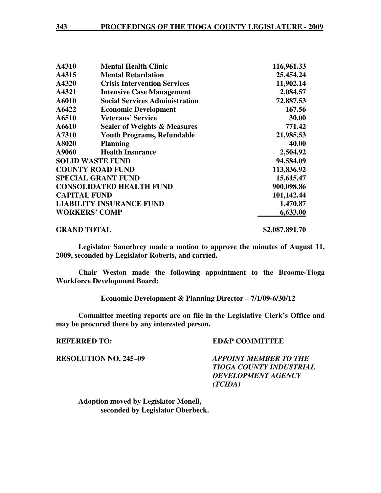| A4310                   | <b>Mental Health Clinic</b>             | 116,961.33 |
|-------------------------|-----------------------------------------|------------|
| A4315                   | <b>Mental Retardation</b>               | 25,454.24  |
| A4320                   | <b>Crisis Intervention Services</b>     | 11,902.14  |
| A4321                   | <b>Intensive Case Management</b>        | 2,084.57   |
| A6010                   | <b>Social Services Administration</b>   | 72,887.53  |
| A6422                   | <b>Economic Development</b>             | 167.56     |
| A6510                   | <b>Veterans' Service</b>                | 30.00      |
| A6610                   | <b>Sealer of Weights &amp; Measures</b> | 771.42     |
| A7310                   | <b>Youth Programs, Refundable</b>       | 21,985.53  |
| A8020                   | <b>Planning</b>                         | 40.00      |
| A9060                   | <b>Health Insurance</b>                 | 2,504.92   |
| <b>SOLID WASTE FUND</b> |                                         | 94,584.09  |
|                         | <b>COUNTY ROAD FUND</b>                 | 113,836.92 |
|                         | <b>SPECIAL GRANT FUND</b>               | 15,615.47  |
|                         | <b>CONSOLIDATED HEALTH FUND</b>         | 900,098.86 |
| <b>CAPITAL FUND</b>     |                                         | 101,142.44 |
|                         | <b>LIABILITY INSURANCE FUND</b>         | 1,470.87   |
| <b>WORKERS' COMP</b>    |                                         | 6,633.00   |

### **GRAND TOTAL \$2,087,891.70**

**Legislator Sauerbrey made a motion to approve the minutes of August 11, 2009, seconded by Legislator Roberts, and carried.** 

 **Chair Weston made the following appointment to the Broome-Tioga Workforce Development Board:** 

 **Economic Development & Planning Director – 7/1/09-6/30/12** 

**Committee meeting reports are on file in the Legislative Clerk's Office and may be procured there by any interested person.** 

## **REFERRED TO:** ED&P COMMITTEE

**RESOLUTION NO. 245–09** *APPOINT MEMBER TO THE TIOGA COUNTY INDUSTRIAL DEVELOPMENT AGENCY (TCIDA)* 

 **Adoption moved by Legislator Monell, seconded by Legislator Oberbeck.**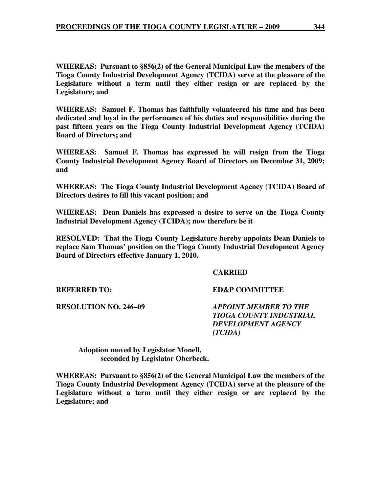**WHEREAS: Pursuant to §856(2) of the General Municipal Law the members of the Tioga County Industrial Development Agency (TCIDA) serve at the pleasure of the Legislature without a term until they either resign or are replaced by the Legislature; and** 

**WHEREAS: Samuel F. Thomas has faithfully volunteered his time and has been dedicated and loyal in the performance of his duties and responsibilities during the past fifteen years on the Tioga County Industrial Development Agency (TCIDA) Board of Directors; and** 

**WHEREAS: Samuel F. Thomas has expressed he will resign from the Tioga County Industrial Development Agency Board of Directors on December 31, 2009; and** 

**WHEREAS: The Tioga County Industrial Development Agency (TCIDA) Board of Directors desires to fill this vacant position; and** 

**WHEREAS: Dean Daniels has expressed a desire to serve on the Tioga County Industrial Development Agency (TCIDA); now therefore be it** 

**RESOLVED: That the Tioga County Legislature hereby appoints Dean Daniels to replace Sam Thomas' position on the Tioga County Industrial Development Agency Board of Directors effective January 1, 2010.** 

### **CARRIED**

**REFERRED TO: ED&P COMMITTEE** 

**RESOLUTION NO. 246–09** *APPOINT MEMBER TO THE TIOGA COUNTY INDUSTRIAL DEVELOPMENT AGENCY (TCIDA)* 

 **Adoption moved by Legislator Monell, seconded by Legislator Oberbeck.** 

**WHEREAS: Pursuant to §856(2) of the General Municipal Law the members of the Tioga County Industrial Development Agency (TCIDA) serve at the pleasure of the Legislature without a term until they either resign or are replaced by the Legislature; and**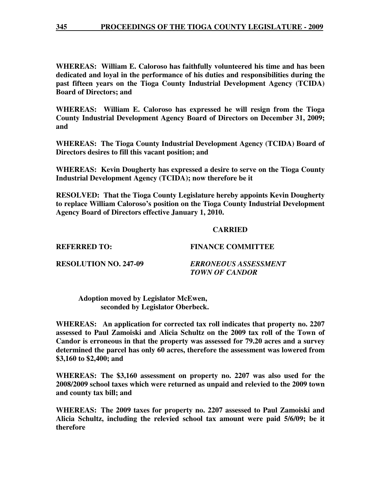**WHEREAS: William E. Caloroso has faithfully volunteered his time and has been dedicated and loyal in the performance of his duties and responsibilities during the past fifteen years on the Tioga County Industrial Development Agency (TCIDA) Board of Directors; and** 

**WHEREAS: William E. Caloroso has expressed he will resign from the Tioga County Industrial Development Agency Board of Directors on December 31, 2009; and** 

**WHEREAS: The Tioga County Industrial Development Agency (TCIDA) Board of Directors desires to fill this vacant position; and** 

**WHEREAS: Kevin Dougherty has expressed a desire to serve on the Tioga County Industrial Development Agency (TCIDA); now therefore be it** 

**RESOLVED: That the Tioga County Legislature hereby appoints Kevin Dougherty to replace William Caloroso's position on the Tioga County Industrial Development Agency Board of Directors effective January 1, 2010.** 

### **CARRIED**

**REFERRED TO: FINANCE COMMITTEE** 

**RESOLUTION NO. 247-09** *ERRONEOUS ASSESSMENT TOWN OF CANDOR* 

 **Adoption moved by Legislator McEwen, seconded by Legislator Oberbeck.** 

**WHEREAS: An application for corrected tax roll indicates that property no. 2207 assessed to Paul Zamoiski and Alicia Schultz on the 2009 tax roll of the Town of Candor is erroneous in that the property was assessed for 79.20 acres and a survey determined the parcel has only 60 acres, therefore the assessment was lowered from \$3,160 to \$2,400; and** 

**WHEREAS: The \$3,160 assessment on property no. 2207 was also used for the 2008/2009 school taxes which were returned as unpaid and relevied to the 2009 town and county tax bill; and** 

**WHEREAS: The 2009 taxes for property no. 2207 assessed to Paul Zamoiski and Alicia Schultz, including the relevied school tax amount were paid 5/6/09; be it therefore**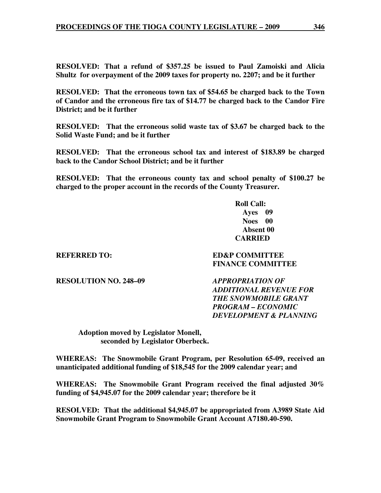**RESOLVED: That a refund of \$357.25 be issued to Paul Zamoiski and Alicia Shultz for overpayment of the 2009 taxes for property no. 2207; and be it further** 

**RESOLVED: That the erroneous town tax of \$54.65 be charged back to the Town of Candor and the erroneous fire tax of \$14.77 be charged back to the Candor Fire District; and be it further** 

**RESOLVED: That the erroneous solid waste tax of \$3.67 be charged back to the Solid Waste Fund; and be it further** 

**RESOLVED: That the erroneous school tax and interest of \$183.89 be charged back to the Candor School District; and be it further** 

**RESOLVED: That the erroneous county tax and school penalty of \$100.27 be charged to the proper account in the records of the County Treasurer.** 

> **Roll Call: Ayes 09 Noes 00 Absent 00 CARRIED**

**REFERRED TO:** ED&P COMMITTEE

 **FINANCE COMMITTEE** 

**RESOLUTION NO. 248–09** *APPROPRIATION OF* 

*ADDITIONAL REVENUE FOR THE SNOWMOBILE GRANT PROGRAM – ECONOMIC DEVELOPMENT & PLANNING* 

 **Adoption moved by Legislator Monell, seconded by Legislator Oberbeck.** 

**WHEREAS: The Snowmobile Grant Program, per Resolution 65-09, received an unanticipated additional funding of \$18,545 for the 2009 calendar year; and** 

**WHEREAS: The Snowmobile Grant Program received the final adjusted 30% funding of \$4,945.07 for the 2009 calendar year; therefore be it** 

**RESOLVED: That the additional \$4,945.07 be appropriated from A3989 State Aid Snowmobile Grant Program to Snowmobile Grant Account A7180.40-590.**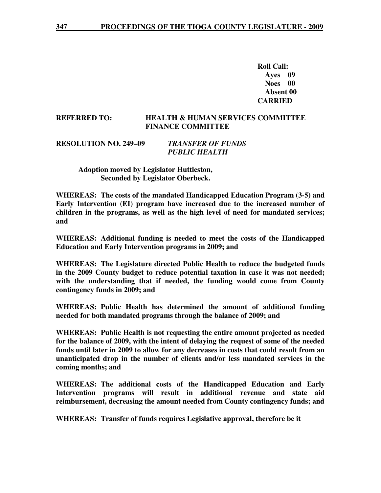**Roll Call: Ayes 09 Noes 00 Absent 00 CARRIED** 

#### **REFERRED TO: HEALTH & HUMAN SERVICES COMMITTEE FINANCE COMMITTEE**

```
RESOLUTION NO. 249–09 TRANSFER OF FUNDS 
              PUBLIC HEALTH
```
 **Adoption moved by Legislator Huttleston, Seconded by Legislator Oberbeck.** 

**WHEREAS: The costs of the mandated Handicapped Education Program (3-5) and Early Intervention (EI) program have increased due to the increased number of children in the programs, as well as the high level of need for mandated services; and** 

**WHEREAS: Additional funding is needed to meet the costs of the Handicapped Education and Early Intervention programs in 2009; and** 

**WHEREAS: The Legislature directed Public Health to reduce the budgeted funds in the 2009 County budget to reduce potential taxation in case it was not needed; with the understanding that if needed, the funding would come from County contingency funds in 2009; and** 

**WHEREAS: Public Health has determined the amount of additional funding needed for both mandated programs through the balance of 2009; and** 

**WHEREAS: Public Health is not requesting the entire amount projected as needed for the balance of 2009, with the intent of delaying the request of some of the needed funds until later in 2009 to allow for any decreases in costs that could result from an unanticipated drop in the number of clients and/or less mandated services in the coming months; and** 

**WHEREAS: The additional costs of the Handicapped Education and Early Intervention programs will result in additional revenue and state aid reimbursement, decreasing the amount needed from County contingency funds; and** 

**WHEREAS: Transfer of funds requires Legislative approval, therefore be it**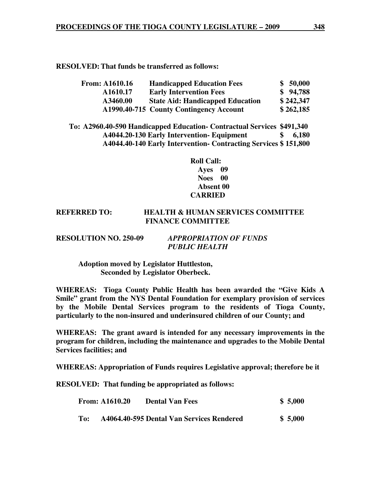**RESOLVED: That funds be transferred as follows:** 

| <b>From: A1610.16</b> | <b>Handicapped Education Fees</b>       | \$ 50,000 |
|-----------------------|-----------------------------------------|-----------|
| A1610.17              | <b>Early Intervention Fees</b>          | \$94,788  |
| A3460.00              | <b>State Aid: Handicapped Education</b> | \$242,347 |
|                       | A1990.40-715 County Contingency Account | \$262,185 |

**To: A2960.40-590 Handicapped Education- Contractual Services \$491,340 A4044.20-130 Early Intervention- Equipment \$ 6,180 A4044.40-140 Early Intervention- Contracting Services \$ 151,800** 

> **Roll Call: Ayes 09 Noes 00 Absent 00 CARRIED**

# **REFERRED TO: HEALTH & HUMAN SERVICES COMMITTEE FINANCE COMMITTEE**

| <b>RESOLUTION NO. 250-09</b> | <b>APPROPRIATION OF FUNDS</b> |
|------------------------------|-------------------------------|
|                              | <b>PUBLIC HEALTH</b>          |

 **Adoption moved by Legislator Huttleston, Seconded by Legislator Oberbeck.** 

**WHEREAS: Tioga County Public Health has been awarded the "Give Kids A Smile" grant from the NYS Dental Foundation for exemplary provision of services by the Mobile Dental Services program to the residents of Tioga County, particularly to the non-insured and underinsured children of our County; and** 

**WHEREAS: The grant award is intended for any necessary improvements in the program for children, including the maintenance and upgrades to the Mobile Dental Services facilities; and** 

**WHEREAS: Appropriation of Funds requires Legislative approval; therefore be it** 

**RESOLVED: That funding be appropriated as follows:**

|     | <b>From: A1610.20</b> | <b>Dental Van Fees</b>                    | \$5,000 |
|-----|-----------------------|-------------------------------------------|---------|
| To: |                       | A4064.40-595 Dental Van Services Rendered | \$5,000 |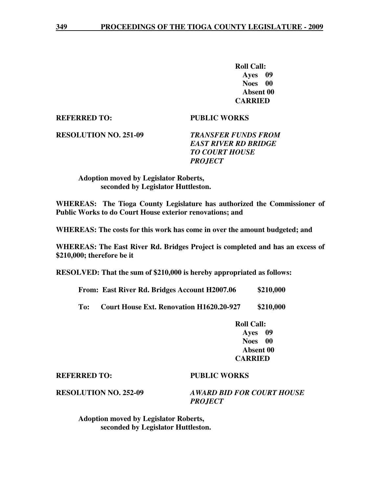**Roll Call: Ayes 09 Noes 00 Absent 00 CARRIED** 

**REFERRED TO: PUBLIC WORKS** 

**RESOLUTION NO. 251-09** *TRANSFER FUNDS FROM* 

 *EAST RIVER RD BRIDGE TO COURT HOUSE PROJECT* 

 **Adoption moved by Legislator Roberts, seconded by Legislator Huttleston.** 

**WHEREAS: The Tioga County Legislature has authorized the Commissioner of Public Works to do Court House exterior renovations; and** 

**WHEREAS: The costs for this work has come in over the amount budgeted; and** 

**WHEREAS: The East River Rd. Bridges Project is completed and has an excess of \$210,000; therefore be it** 

**RESOLVED: That the sum of \$210,000 is hereby appropriated as follows:** 

 **From: East River Rd. Bridges Account H2007.06 \$210,000** 

 **To: Court House Ext. Renovation H1620.20-927 \$210,000** 

 **Roll Call: Ayes 09 Noes 00 Absent 00 CARRIED** 

#### **REFERRED TO: PUBLIC WORKS**

**RESOLUTION NO. 252-09** *AWARD BID FOR COURT HOUSE PROJECT* 

 **Adoption moved by Legislator Roberts, seconded by Legislator Huttleston.**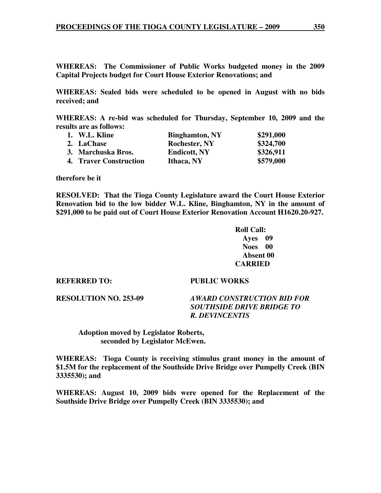**WHEREAS: The Commissioner of Public Works budgeted money in the 2009 Capital Projects budget for Court House Exterior Renovations; and** 

**WHEREAS: Sealed bids were scheduled to be opened in August with no bids received; and** 

**WHEREAS: A re-bid was scheduled for Thursday, September 10, 2009 and the results are as follows:** 

| 1. W.L. Kline                 | <b>Binghamton, NY</b> | \$291,000 |
|-------------------------------|-----------------------|-----------|
| 2. LaChase                    | <b>Rochester, NY</b>  | \$324,700 |
| 3. Marchuska Bros.            | <b>Endicott, NY</b>   | \$326,911 |
| <b>4. Traver Construction</b> | Ithaca, NY            | \$579,000 |

**therefore be it** 

**RESOLVED: That the Tioga County Legislature award the Court House Exterior Renovation bid to the low bidder W.L. Kline, Binghamton, NY in the amount of \$291,000 to be paid out of Court House Exterior Renovation Account H1620.20-927.** 

> **Roll Call: Ayes 09 Noes 00 Absent 00 CARRIED**

**REFERRED TO: PUBLIC WORKS** 

**RESOLUTION NO. 253-09** *AWARD CONSTRUCTION BID FOR* 

 *SOUTHSIDE DRIVE BRIDGE TO R. DEVINCENTIS* 

 **Adoption moved by Legislator Roberts, seconded by Legislator McEwen.** 

**WHEREAS: Tioga County is receiving stimulus grant money in the amount of \$1.5M for the replacement of the Southside Drive Bridge over Pumpelly Creek (BIN 3335530); and** 

**WHEREAS: August 10, 2009 bids were opened for the Replacement of the Southside Drive Bridge over Pumpelly Creek (BIN 3335530); and**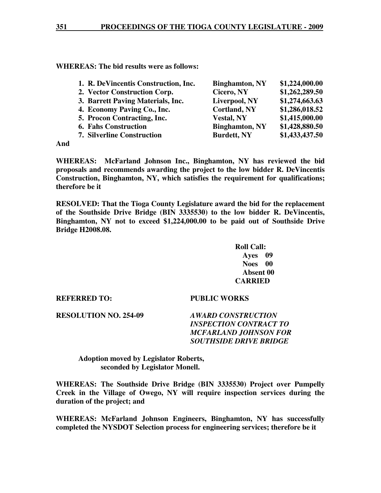**WHEREAS: The bid results were as follows:** 

| 1. R. DeVincentis Construction, Inc. | <b>Binghamton, NY</b> | \$1,224,000.00 |
|--------------------------------------|-----------------------|----------------|
| 2. Vector Construction Corp.         | Cicero, NY            | \$1,262,289.50 |
| 3. Barrett Paving Materials, Inc.    | Liverpool, NY         | \$1,274,663.63 |
| 4. Economy Paving Co., Inc.          | <b>Cortland, NY</b>   | \$1,286,018.52 |
| 5. Procon Contracting, Inc.          | <b>Vestal, NY</b>     | \$1,415,000.00 |
| <b>6. Fahs Construction</b>          | <b>Binghamton, NY</b> | \$1,428,880.50 |
| <b>7. Silverline Construction</b>    | <b>Burdett, NY</b>    | \$1,433,437.50 |
|                                      |                       |                |

**And** 

**WHEREAS: McFarland Johnson Inc., Binghamton, NY has reviewed the bid proposals and recommends awarding the project to the low bidder R. DeVincentis Construction, Binghamton, NY, which satisfies the requirement for qualifications; therefore be it** 

**RESOLVED: That the Tioga County Legislature award the bid for the replacement of the Southside Drive Bridge (BIN 3335530) to the low bidder R. DeVincentis, Binghamton, NY not to exceed \$1,224,000.00 to be paid out of Southside Drive Bridge H2008.08.** 

> **Roll Call: Ayes 09 Noes 00 Absent 00 CARRIED**

# **REFERRED TO: PUBLIC WORKS**

**RESOLUTION NO. 254-09** *AWARD CONSTRUCTION* 

# *INSPECTION CONTRACT TO MCFARLAND JOHNSON FOR SOUTHSIDE DRIVE BRIDGE*

 **Adoption moved by Legislator Roberts, seconded by Legislator Monell.** 

**WHEREAS: The Southside Drive Bridge (BIN 3335530) Project over Pumpelly Creek in the Village of Owego, NY will require inspection services during the duration of the project; and** 

**WHEREAS: McFarland Johnson Engineers, Binghamton, NY has successfully completed the NYSDOT Selection process for engineering services; therefore be it**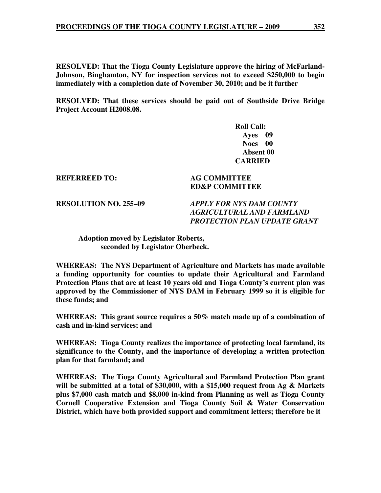**RESOLVED: That the Tioga County Legislature approve the hiring of McFarland-Johnson, Binghamton, NY for inspection services not to exceed \$250,000 to begin immediately with a completion date of November 30, 2010; and be it further** 

**RESOLVED: That these services should be paid out of Southside Drive Bridge Project Account H2008.08.** 

> **Roll Call: Ayes 09 Noes 00 Absent 00 CARRIED**

**REFERREED TO: AG COMMITTEE** 

**ED&P COMMITTEE** 

**RESOLUTION NO. 255–09** *APPLY FOR NYS DAM COUNTY AGRICULTURAL AND FARMLAND PROTECTION PLAN UPDATE GRANT* 

 **Adoption moved by Legislator Roberts, seconded by Legislator Oberbeck.** 

**WHEREAS: The NYS Department of Agriculture and Markets has made available a funding opportunity for counties to update their Agricultural and Farmland Protection Plans that are at least 10 years old and Tioga County's current plan was approved by the Commissioner of NYS DAM in February 1999 so it is eligible for these funds; and** 

**WHEREAS: This grant source requires a 50% match made up of a combination of cash and in-kind services; and** 

**WHEREAS: Tioga County realizes the importance of protecting local farmland, its significance to the County, and the importance of developing a written protection plan for that farmland; and** 

**WHEREAS: The Tioga County Agricultural and Farmland Protection Plan grant will be submitted at a total of \$30,000, with a \$15,000 request from Ag & Markets plus \$7,000 cash match and \$8,000 in-kind from Planning as well as Tioga County Cornell Cooperative Extension and Tioga County Soil & Water Conservation District, which have both provided support and commitment letters; therefore be it**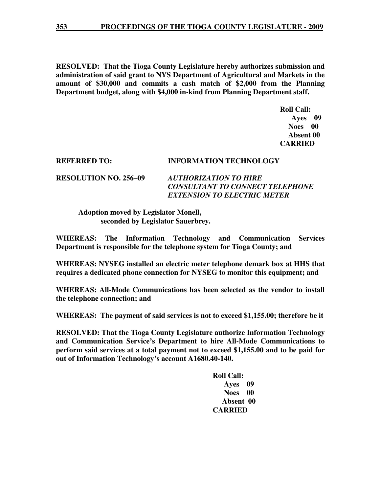**RESOLVED: That the Tioga County Legislature hereby authorizes submission and administration of said grant to NYS Department of Agricultural and Markets in the amount of \$30,000 and commits a cash match of \$2,000 from the Planning Department budget, along with \$4,000 in-kind from Planning Department staff.** 

> **Roll Call: Ayes 09 Noes 00 Absent 00 CARRIED**

# **REFERRED TO: INFORMATION TECHNOLOGY**

**RESOLUTION NO. 256–09** *AUTHORIZATION TO HIRE CONSULTANT TO CONNECT TELEPHONE EXTENSION TO ELECTRIC METER* 

 **Adoption moved by Legislator Monell, seconded by Legislator Sauerbrey.** 

**WHEREAS: The Information Technology and Communication Services Department is responsible for the telephone system for Tioga County; and** 

**WHEREAS: NYSEG installed an electric meter telephone demark box at HHS that requires a dedicated phone connection for NYSEG to monitor this equipment; and** 

**WHEREAS: All-Mode Communications has been selected as the vendor to install the telephone connection; and** 

**WHEREAS: The payment of said services is not to exceed \$1,155.00; therefore be it** 

**RESOLVED: That the Tioga County Legislature authorize Information Technology and Communication Service's Department to hire All-Mode Communications to perform said services at a total payment not to exceed \$1,155.00 and to be paid for out of Information Technology's account A1680.40-140.** 

> **Roll Call: Ayes 09 Noes 00 Absent 00 CARRIED**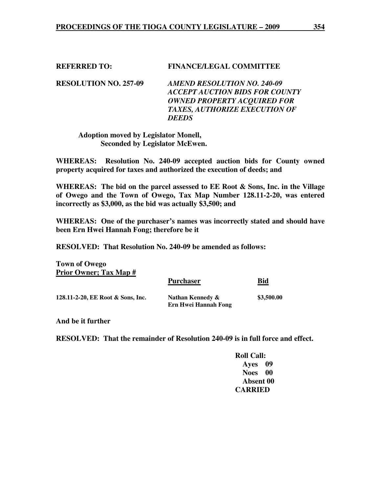# **REFERRED TO: FINANCE/LEGAL COMMITTEE**

**RESOLUTION NO. 257-09** *AMEND RESOLUTION NO. 240-09 ACCEPT AUCTION BIDS FOR COUNTY OWNED PROPERTY ACQUIRED FOR TAXES, AUTHORIZE EXECUTION OF DEEDS* 

 **Adoption moved by Legislator Monell, Seconded by Legislator McEwen.** 

**WHEREAS: Resolution No. 240-09 accepted auction bids for County owned property acquired for taxes and authorized the execution of deeds; and** 

**WHEREAS: The bid on the parcel assessed to EE Root & Sons, Inc. in the Village of Owego and the Town of Owego, Tax Map Number 128.11-2-20, was entered incorrectly as \$3,000, as the bid was actually \$3,500; and** 

**WHEREAS: One of the purchaser's names was incorrectly stated and should have been Ern Hwei Hannah Fong; therefore be it** 

**RESOLVED: That Resolution No. 240-09 be amended as follows:** 

**Town of Owego Prior Owner; Tax Map #** Purchaser **Bid 128.11-2-20, EE Root & Sons, Inc. Nathan Kennedy & \$3,500.00 Ern Hwei Hannah Fong** 

**And be it further** 

**RESOLVED: That the remainder of Resolution 240-09 is in full force and effect.** 

 **Roll Call: Ayes 09 Noes 00 Absent 00 CARRIED**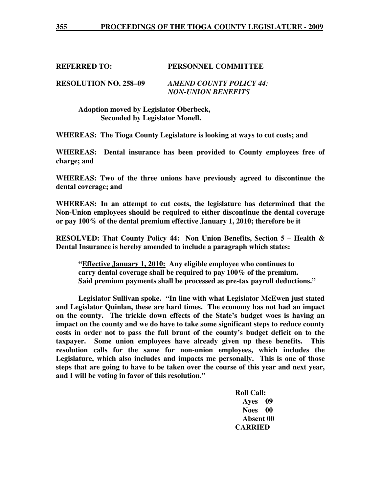# **REFERRED TO: PERSONNEL COMMITTEE**

**RESOLUTION NO. 258–09** *AMEND COUNTY POLICY 44: NON-UNION BENEFITS* 

> **Adoption moved by Legislator Oberbeck, Seconded by Legislator Monell.**

**WHEREAS: The Tioga County Legislature is looking at ways to cut costs; and** 

**WHEREAS: Dental insurance has been provided to County employees free of charge; and** 

**WHEREAS: Two of the three unions have previously agreed to discontinue the dental coverage; and** 

**WHEREAS: In an attempt to cut costs, the legislature has determined that the Non-Union employees should be required to either discontinue the dental coverage or pay 100% of the dental premium effective January 1, 2010; therefore be it** 

**RESOLVED: That County Policy 44: Non Union Benefits, Section 5 – Health & Dental Insurance is hereby amended to include a paragraph which states:** 

 **"Effective January 1, 2010: Any eligible employee who continues to carry dental coverage shall be required to pay 100% of the premium. Said premium payments shall be processed as pre-tax payroll deductions."** 

 **Legislator Sullivan spoke. "In line with what Legislator McEwen just stated and Legislator Quinlan, these are hard times. The economy has not had an impact on the county. The trickle down effects of the State's budget woes is having an impact on the county and we do have to take some significant steps to reduce county costs in order not to pass the full brunt of the county's budget deficit on to the taxpayer. Some union employees have already given up these benefits. This resolution calls for the same for non-union employees, which includes the Legislature, which also includes and impacts me personally. This is one of those steps that are going to have to be taken over the course of this year and next year, and I will be voting in favor of this resolution."** 

> **Roll Call: Ayes 09 Noes 00 Absent 00 CARRIED**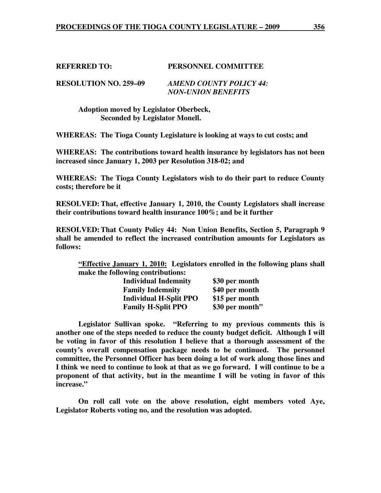# **REFERRED TO: PERSONNEL COMMITTEE**

**RESOLUTION NO. 259–09** *AMEND COUNTY POLICY 44: NON-UNION BENEFITS* 

> **Adoption moved by Legislator Oberbeck, Seconded by Legislator Monell.**

**WHEREAS: The Tioga County Legislature is looking at ways to cut costs; and** 

**WHEREAS: The contributions toward health insurance by legislators has not been increased since January 1, 2003 per Resolution 318-02; and** 

**WHEREAS: The Tioga County Legislators wish to do their part to reduce County costs; therefore be it** 

**RESOLVED: That, effective January 1, 2010, the County Legislators shall increase their contributions toward health insurance 100%; and be it further** 

**RESOLVED: That County Policy 44: Non Union Benefits, Section 5, Paragraph 9 shall be amended to reflect the increased contribution amounts for Legislators as follows:** 

**"Effective January 1, 2010: Legislators enrolled in the following plans shall make the following contributions:** 

| <b>Individual Indemnity</b>   | \$30 per month  |
|-------------------------------|-----------------|
| <b>Family Indemnity</b>       | \$40 per month  |
| <b>Individual H-Split PPO</b> | \$15 per month  |
| <b>Family H-Split PPO</b>     | \$30 per month" |

 **Legislator Sullivan spoke. "Referring to my previous comments this is another one of the steps needed to reduce the county budget deficit. Although I will be voting in favor of this resolution I believe that a thorough assessment of the county's overall compensation package needs to be continued. The personnel committee, the Personnel Officer has been doing a lot of work along those lines and I think we need to continue to look at that as we go forward. I will continue to be a proponent of that activity, but in the meantime I will be voting in favor of this increase."** 

 **On roll call vote on the above resolution, eight members voted Aye, Legislator Roberts voting no, and the resolution was adopted.**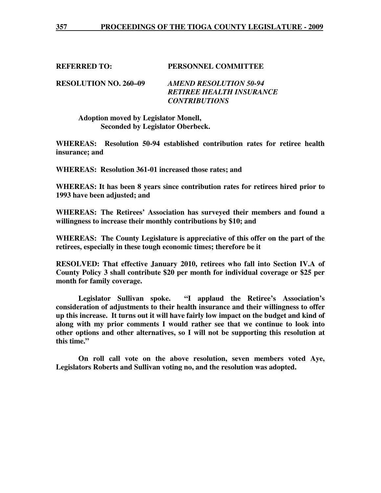# **REFERRED TO: PERSONNEL COMMITTEE**

**RESOLUTION NO. 260–09** *AMEND RESOLUTION 50-94 RETIREE HEALTH INSURANCE CONTRIBUTIONS* 

 **Adoption moved by Legislator Monell, Seconded by Legislator Oberbeck.** 

**WHEREAS: Resolution 50-94 established contribution rates for retiree health insurance; and** 

**WHEREAS: Resolution 361-01 increased those rates; and** 

**WHEREAS: It has been 8 years since contribution rates for retirees hired prior to 1993 have been adjusted; and** 

**WHEREAS: The Retirees' Association has surveyed their members and found a willingness to increase their monthly contributions by \$10; and** 

**WHEREAS: The County Legislature is appreciative of this offer on the part of the retirees, especially in these tough economic times; therefore be it** 

**RESOLVED: That effective January 2010, retirees who fall into Section IV.A of County Policy 3 shall contribute \$20 per month for individual coverage or \$25 per month for family coverage.** 

 **Legislator Sullivan spoke. "I applaud the Retiree's Association's consideration of adjustments to their health insurance and their willingness to offer up this increase. It turns out it will have fairly low impact on the budget and kind of along with my prior comments I would rather see that we continue to look into other options and other alternatives, so I will not be supporting this resolution at this time."** 

 **On roll call vote on the above resolution, seven members voted Aye, Legislators Roberts and Sullivan voting no, and the resolution was adopted.**